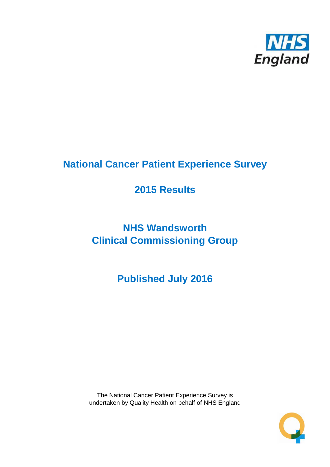

# **National Cancer Patient Experience Survey**

# **2015 Results**

# **NHS Wandsworth Clinical Commissioning Group**

**Published July 2016**

The National Cancer Patient Experience Survey is undertaken by Quality Health on behalf of NHS England

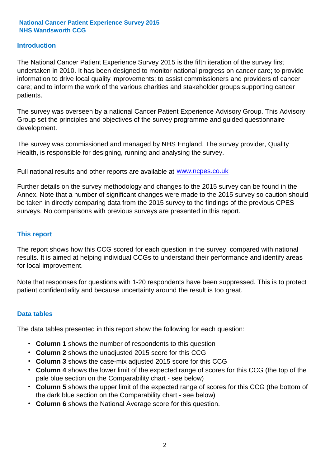### **Introduction**

The National Cancer Patient Experience Survey 2015 is the fifth iteration of the survey first undertaken in 2010. It has been designed to monitor national progress on cancer care; to provide information to drive local quality improvements; to assist commissioners and providers of cancer care; and to inform the work of the various charities and stakeholder groups supporting cancer patients.

The survey was overseen by a national Cancer Patient Experience Advisory Group. This Advisory Group set the principles and objectives of the survey programme and guided questionnaire development.

The survey was commissioned and managed by NHS England. The survey provider, Quality Health, is responsible for designing, running and analysing the survey.

Full national results and other reports are available at www.ncpes.co.uk

Further details on the survey methodology and changes to the 2015 survey can be found in the Annex. Note that a number of significant changes were made to the 2015 survey so caution should be taken in directly comparing data from the 2015 survey to the findings of the previous CPES surveys. No comparisons with previous surveys are presented in this report.

#### **This report**

The report shows how this CCG scored for each question in the survey, compared with national results. It is aimed at helping individual CCGs to understand their performance and identify areas for local improvement.

Note that responses for questions with 1-20 respondents have been suppressed. This is to protect patient confidentiality and because uncertainty around the result is too great.

#### **Data tables**

The data tables presented in this report show the following for each question:

- **Column 1** shows the number of respondents to this question
- **Column 2** shows the unadjusted 2015 score for this CCG
- **Column 3** shows the case-mix adjusted 2015 score for this CCG
- **Column 4** shows the lower limit of the expected range of scores for this CCG (the top of the pale blue section on the Comparability chart - see below)
- **Column 5** shows the upper limit of the expected range of scores for this CCG (the bottom of the dark blue section on the Comparability chart - see below)
- **Column 6** shows the National Average score for this question.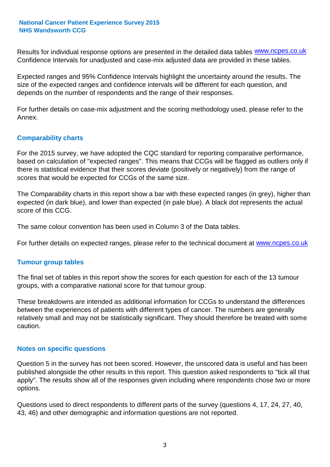Results for individual response options are presented in the detailed data tables **WWW.ncpes.co.uk** Confidence Intervals for unadjusted and case-mix adjusted data are provided in these tables.

Expected ranges and 95% Confidence Intervals highlight the uncertainty around the results. The size of the expected ranges and confidence intervals will be different for each question, and depends on the number of respondents and the range of their responses.

For further details on case-mix adjustment and the scoring methodology used, please refer to the Annex.

### **Comparability charts**

For the 2015 survey, we have adopted the CQC standard for reporting comparative performance, based on calculation of "expected ranges". This means that CCGs will be flagged as outliers only if there is statistical evidence that their scores deviate (positively or negatively) from the range of scores that would be expected for CCGs of the same size.

The Comparability charts in this report show a bar with these expected ranges (in grey), higher than expected (in dark blue), and lower than expected (in pale blue). A black dot represents the actual score of this CCG.

The same colour convention has been used in Column 3 of the Data tables.

For further details on expected ranges, please refer to the technical document at **www.ncpes.co.uk** 

#### **Tumour group tables**

The final set of tables in this report show the scores for each question for each of the 13 tumour groups, with a comparative national score for that tumour group.

These breakdowns are intended as additional information for CCGs to understand the differences between the experiences of patients with different types of cancer. The numbers are generally relatively small and may not be statistically significant. They should therefore be treated with some caution.

#### **Notes on specific questions**

Question 5 in the survey has not been scored. However, the unscored data is useful and has been published alongside the other results in this report. This question asked respondents to "tick all that apply". The results show all of the responses given including where respondents chose two or more options.

Questions used to direct respondents to different parts of the survey (questions 4, 17, 24, 27, 40, 43, 46) and other demographic and information questions are not reported.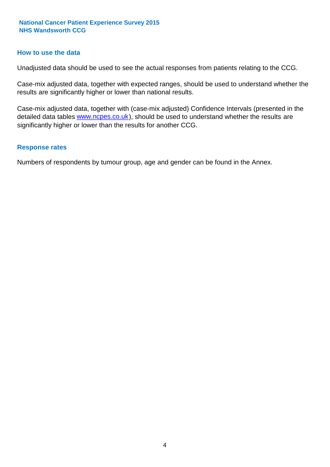#### **How to use the data**

Unadjusted data should be used to see the actual responses from patients relating to the CCG.

Case-mix adjusted data, together with expected ranges, should be used to understand whether the results are significantly higher or lower than national results.

Case-mix adjusted data, together with (case-mix adjusted) Confidence Intervals (presented in the detailed data tables **www.ncpes.co.uk**), should be used to understand whether the results are significantly higher or lower than the results for another CCG.

#### **Response rates**

Numbers of respondents by tumour group, age and gender can be found in the Annex.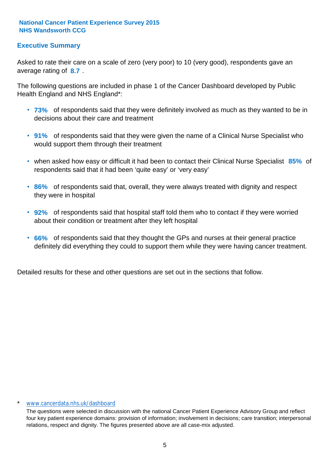### **Executive Summary**

average rating of 8.7. Asked to rate their care on a scale of zero (very poor) to 10 (very good), respondents gave an

The following questions are included in phase 1 of the Cancer Dashboard developed by Public Health England and NHS England\*:

- **73%** of respondents said that they were definitely involved as much as they wanted to be in decisions about their care and treatment
- **91%** of respondents said that they were given the name of a Clinical Nurse Specialist who would support them through their treatment
- when asked how easy or difficult it had been to contact their Clinical Nurse Specialist 85% of respondents said that it had been 'quite easy' or 'very easy'
- **86%** of respondents said that, overall, they were always treated with dignity and respect they were in hospital
- **92%** of respondents said that hospital staff told them who to contact if they were worried about their condition or treatment after they left hospital
- **66%** of respondents said that they thought the GPs and nurses at their general practice definitely did everything they could to support them while they were having cancer treatment.

Detailed results for these and other questions are set out in the sections that follow.

#### \* www.cancerdata.nhs.uk/dashboard

The questions were selected in discussion with the national Cancer Patient Experience Advisory Group and reflect four key patient experience domains: provision of information; involvement in decisions; care transition; interpersonal relations, respect and dignity. The figures presented above are all case-mix adjusted.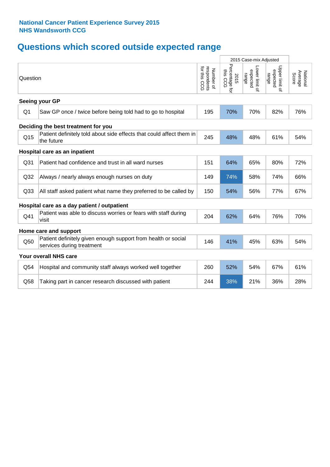# **Questions which scored outside expected range**

|                 |                                                                                            |                                                      | 2015 Case-mix Adjusted             |                                     |                                     |                              |  |  |  |  |
|-----------------|--------------------------------------------------------------------------------------------|------------------------------------------------------|------------------------------------|-------------------------------------|-------------------------------------|------------------------------|--|--|--|--|
| Question        |                                                                                            | for this<br>respondents<br>for this CCG<br>Number of | Percentage for<br>this CCG<br>2015 | Lower limit of<br>expected<br>range | Upper limit of<br>expected<br>range | National<br>Average<br>Score |  |  |  |  |
|                 | Seeing your GP                                                                             |                                                      |                                    |                                     |                                     |                              |  |  |  |  |
| Q <sub>1</sub>  | Saw GP once / twice before being told had to go to hospital                                | 195                                                  | 70%                                | 70%                                 | 82%                                 | 76%                          |  |  |  |  |
|                 | Deciding the best treatment for you                                                        |                                                      |                                    |                                     |                                     |                              |  |  |  |  |
| Q15             | Patient definitely told about side effects that could affect them in<br>the future         | 245                                                  | 48%                                | 48%                                 | 61%                                 | 54%                          |  |  |  |  |
|                 | Hospital care as an inpatient                                                              |                                                      |                                    |                                     |                                     |                              |  |  |  |  |
| Q31             | Patient had confidence and trust in all ward nurses                                        | 151                                                  | 64%                                | 65%                                 | 80%                                 | 72%                          |  |  |  |  |
| Q <sub>32</sub> | Always / nearly always enough nurses on duty                                               | 149                                                  | 74%                                | 58%                                 | 74%                                 | 66%                          |  |  |  |  |
| Q <sub>33</sub> | All staff asked patient what name they preferred to be called by                           | 150                                                  | 54%                                | 56%                                 | 77%                                 | 67%                          |  |  |  |  |
|                 | Hospital care as a day patient / outpatient                                                |                                                      |                                    |                                     |                                     |                              |  |  |  |  |
| Q41             | Patient was able to discuss worries or fears with staff during<br>visit                    | 204                                                  | 62%                                | 64%                                 | 76%                                 | 70%                          |  |  |  |  |
|                 | Home care and support                                                                      |                                                      |                                    |                                     |                                     |                              |  |  |  |  |
| Q50             | Patient definitely given enough support from health or social<br>services during treatment | 146                                                  | 41%                                | 45%                                 | 63%                                 | 54%                          |  |  |  |  |
|                 | Your overall NHS care                                                                      |                                                      |                                    |                                     |                                     |                              |  |  |  |  |
| Q54             | Hospital and community staff always worked well together                                   | 260                                                  | 52%                                | 54%                                 | 67%                                 | 61%                          |  |  |  |  |
| Q58             | Taking part in cancer research discussed with patient                                      | 244                                                  | 38%                                | 21%                                 | 36%                                 | 28%                          |  |  |  |  |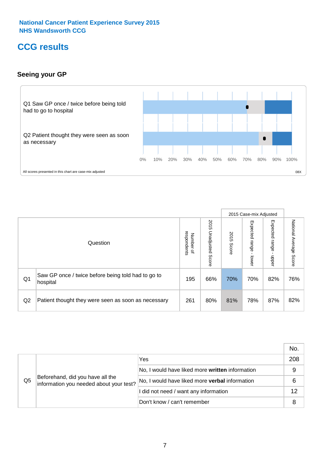# **CCG results**

### **Seeing your GP**



|    |                                                                |                                              |                             |               | 2015 Case-mix Adjusted     |                            |                           |
|----|----------------------------------------------------------------|----------------------------------------------|-----------------------------|---------------|----------------------------|----------------------------|---------------------------|
|    | Question                                                       | respondents<br>Number<br>$\overline{\sigma}$ | 2015<br>Unadjusted<br>Score | 2015<br>Score | Expected<br>range<br>lower | Expected<br>range<br>nbber | National Average<br>Score |
| Q1 | Saw GP once / twice before being told had to go to<br>hospital | 195                                          | 66%                         | 70%           | 70%                        | 82%                        | 76%                       |
| Q2 | Patient thought they were seen as soon as necessary            | 261                                          | 80%                         | 81%           | 78%                        | 87%                        | 82%                       |

|    |                                                                             |                                                 | No. |
|----|-----------------------------------------------------------------------------|-------------------------------------------------|-----|
|    | Beforehand, did you have all the<br>information you needed about your test? | Yes                                             | 208 |
|    |                                                                             | No, I would have liked more written information | 9   |
| Q5 |                                                                             | No, I would have liked more verbal information  | 6   |
|    |                                                                             | I did not need / want any information           | 12  |
|    |                                                                             | Don't know / can't remember                     | 8   |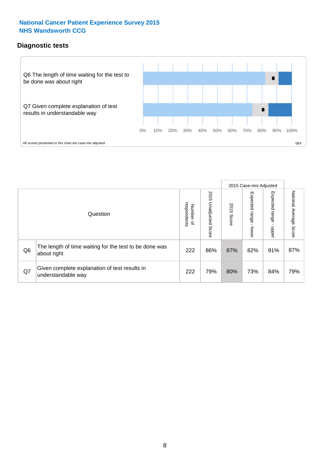### **Diagnostic tests**



|                |                                                                       |                                       |                             |               | 2015 Case-mix Adjusted  |                         |                           |
|----------------|-----------------------------------------------------------------------|---------------------------------------|-----------------------------|---------------|-------------------------|-------------------------|---------------------------|
|                | Question                                                              | respondents<br>Number<br>$\mathbf{Q}$ | 2015<br>Unadjusted<br>Score | 2015<br>Score | Expected range<br>lower | Expected range<br>nbber | National Average<br>Score |
| Q <sub>6</sub> | The length of time waiting for the test to be done was<br>about right | 222                                   | 86%                         | 87%           | 82%                     | 91%                     | 87%                       |
| Q7             | Given complete explanation of test results in<br>understandable way   | 222                                   | 79%                         | 80%           | 73%                     | 84%                     | 79%                       |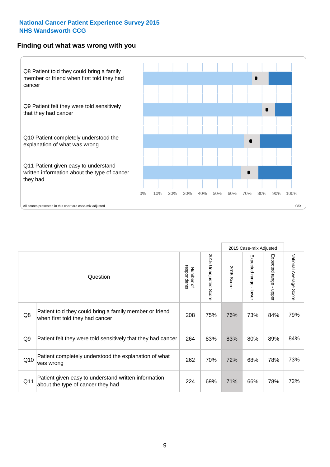#### **Finding out what was wrong with you**



|     |                                                                                            |                          |                       |               | 2015 Case-mix Adjusted |                                           |                           |
|-----|--------------------------------------------------------------------------------------------|--------------------------|-----------------------|---------------|------------------------|-------------------------------------------|---------------------------|
|     | Question                                                                                   | Number of<br>respondents | 2015 Unadjusted Score | 2015<br>Score | Expected range - lower | Expected range<br>$\blacksquare$<br>nbper | National Average<br>Score |
| Q8  | Patient told they could bring a family member or friend<br>when first told they had cancer | 208                      | 75%                   | 76%           | 73%                    | 84%                                       | 79%                       |
| Q9  | Patient felt they were told sensitively that they had cancer                               | 264                      | 83%                   | 83%           | 80%                    | 89%                                       | 84%                       |
| Q10 | Patient completely understood the explanation of what<br>was wrong                         | 262                      | 70%                   | 72%           | 68%                    | 78%                                       | 73%                       |
| Q11 | Patient given easy to understand written information<br>about the type of cancer they had  | 224                      | 69%                   | 71%           | 66%                    | 78%                                       | 72%                       |
|     |                                                                                            |                          |                       |               |                        |                                           |                           |

73%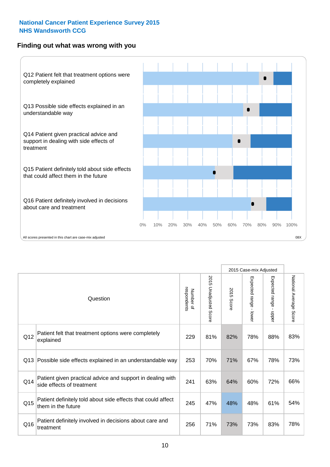### **Finding out what was wrong with you**



|     |                                                                                         |                          |                          |               | 2015 Case-mix Adjusted                  |                           |                        |
|-----|-----------------------------------------------------------------------------------------|--------------------------|--------------------------|---------------|-----------------------------------------|---------------------------|------------------------|
|     | Question                                                                                | Number of<br>respondents | 2015<br>Unadjusted Score | 2015<br>Score | Expected range<br>$\mathbf{I}$<br>lower | Expected range -<br>nbber | National Average Score |
| Q12 | Patient felt that treatment options were completely<br>explained                        | 229                      | 81%                      | 82%           | 78%                                     | 88%                       | 83%                    |
| Q13 | Possible side effects explained in an understandable way                                | 253                      | 70%                      | 71%           | 67%                                     | 78%                       | 73%                    |
| Q14 | Patient given practical advice and support in dealing with<br>side effects of treatment | 241                      | 63%                      | 64%           | 60%                                     | 72%                       | 66%                    |
| Q15 | Patient definitely told about side effects that could affect<br>them in the future      | 245                      | 47%                      | 48%           | 48%                                     | 61%                       | 54%                    |
| Q16 | Patient definitely involved in decisions about care and<br>treatment                    | 256                      | 71%                      | 73%           | 73%                                     | 83%                       | 78%                    |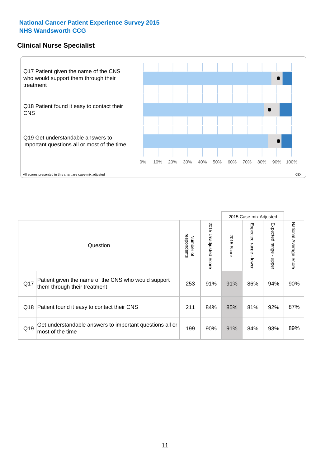### **Clinical Nurse Specialist**



|     |                                                                                     |                          |                       |               | 2015 Case-mix Adjusted  |                         |                                  |
|-----|-------------------------------------------------------------------------------------|--------------------------|-----------------------|---------------|-------------------------|-------------------------|----------------------------------|
|     | Question                                                                            | respondents<br>Number of | 2015 Unadjusted Score | 2015<br>Score | Expected range<br>lower | Expected range<br>nbber | National Average<br><b>Score</b> |
| Q17 | Patient given the name of the CNS who would support<br>them through their treatment | 253                      | 91%                   | 91%           | 86%                     | 94%                     | 90%                              |
| Q18 | Patient found it easy to contact their CNS                                          | 211                      | 84%                   | 85%           | 81%                     | 92%                     | 87%                              |
| Q19 | Get understandable answers to important questions all or<br>most of the time        | 199                      | 90%                   | 91%           | 84%                     | 93%                     | 89%                              |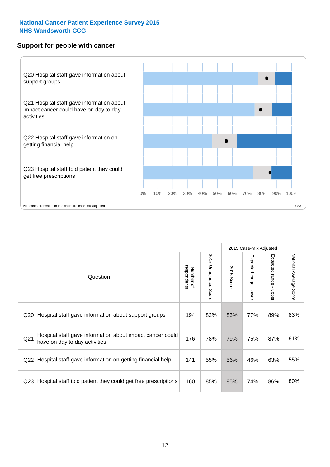### **Support for people with cancer**



|                 |                                                                                            |                          |                             |               | 2015 Case-mix Adjusted  |                                           |                        |
|-----------------|--------------------------------------------------------------------------------------------|--------------------------|-----------------------------|---------------|-------------------------|-------------------------------------------|------------------------|
|                 | Question                                                                                   | respondents<br>Number of | 2015<br>Unadjusted<br>Score | 2015<br>Score | Expected range<br>lower | Expected range<br>$\blacksquare$<br>nbber | National Average Score |
| Q20             | Hospital staff gave information about support groups                                       | 194                      | 82%                         | 83%           | 77%                     | 89%                                       | 83%                    |
| Q <sub>21</sub> | Hospital staff gave information about impact cancer could<br>have on day to day activities | 176                      | 78%                         | 79%           | 75%                     | 87%                                       | 81%                    |
| Q22             | Hospital staff gave information on getting financial help                                  | 141                      | 55%                         | 56%           | 46%                     | 63%                                       | 55%                    |
| Q <sub>23</sub> | Hospital staff told patient they could get free prescriptions                              | 160                      | 85%                         | 85%           | 74%                     | 86%                                       | 80%                    |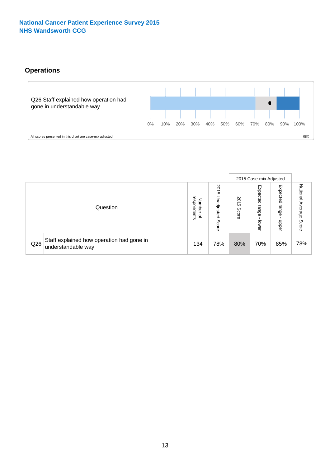# **Operations**



|     |                                                                 |                                              |                             |                   | 2015 Case-mix Adjusted     |                            |                              |
|-----|-----------------------------------------------------------------|----------------------------------------------|-----------------------------|-------------------|----------------------------|----------------------------|------------------------------|
|     | Question                                                        | respondents<br>Number<br>$\overline{\sigma}$ | 2015<br>Unadjusted<br>Score | 201<br>ຕ<br>Score | Expected<br>range<br>lower | Expected<br>range<br>doper | National<br>Average<br>Score |
| Q26 | Staff explained how operation had gone in<br>understandable way | 134                                          | 78%                         | 80%               | 70%                        | 85%                        | 78%                          |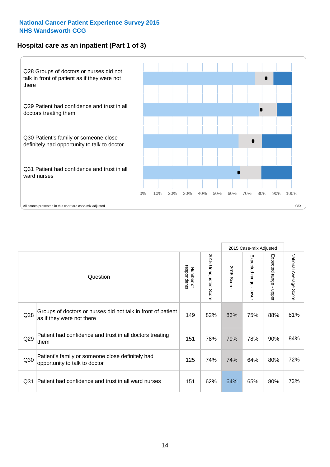### **Hospital care as an inpatient (Part 1 of 3)**



All scores presented in this chart are case-mix adjusted  $08X$ 

|                 |                                                                                           |                          |                       |                      | 2015 Case-mix Adjusted                    |                                         |                        |
|-----------------|-------------------------------------------------------------------------------------------|--------------------------|-----------------------|----------------------|-------------------------------------------|-----------------------------------------|------------------------|
|                 | Question                                                                                  | respondents<br>Number of | 2015 Unadjusted Score | 2015<br><b>Score</b> | Expected range<br>$\blacksquare$<br>lower | Expected range<br>$\mathbf{I}$<br>nbber | National Average Score |
| Q28             | Groups of doctors or nurses did not talk in front of patient<br>as if they were not there | 149                      | 82%                   | 83%                  | 75%                                       | 88%                                     | 81%                    |
| Q29             | Patient had confidence and trust in all doctors treating<br>them                          | 151                      | 78%                   | 79%                  | 78%                                       | 90%                                     | 84%                    |
| Q30             | Patient's family or someone close definitely had<br>opportunity to talk to doctor         | 125                      | 74%                   | 74%                  | 64%                                       | 80%                                     | 72%                    |
| Q <sub>31</sub> | Patient had confidence and trust in all ward nurses                                       | 151                      | 62%                   | 64%                  | 65%                                       | 80%                                     | 72%                    |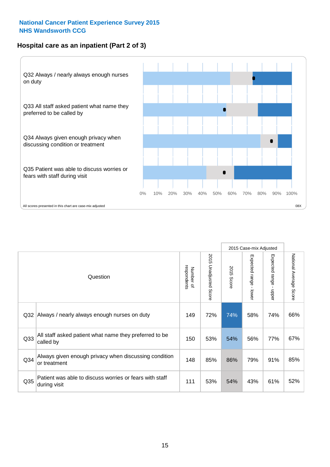### **Hospital care as an inpatient (Part 2 of 3)**



|                 |                                                                         |                          |                       |               | 2015 Case-mix Adjusted |                                         |                           |
|-----------------|-------------------------------------------------------------------------|--------------------------|-----------------------|---------------|------------------------|-----------------------------------------|---------------------------|
|                 | Question                                                                | respondents<br>Number of | 2015 Unadjusted Score | 2015<br>Score | Expected range - lower | Expected range<br>$\mathbf{r}$<br>nbber | National Average<br>Score |
| Q <sub>32</sub> | Always / nearly always enough nurses on duty                            | 149                      | 72%                   | 74%           | 58%                    | 74%                                     | 66%                       |
| Q <sub>33</sub> | All staff asked patient what name they preferred to be<br>called by     | 150                      | 53%                   | 54%           | 56%                    | 77%                                     | 67%                       |
| Q <sub>34</sub> | Always given enough privacy when discussing condition<br>or treatment   | 148                      | 85%                   | 86%           | 79%                    | 91%                                     | 85%                       |
| Q <sub>35</sub> | Patient was able to discuss worries or fears with staff<br>during visit | 111                      | 53%                   | 54%           | 43%                    | 61%                                     | 52%                       |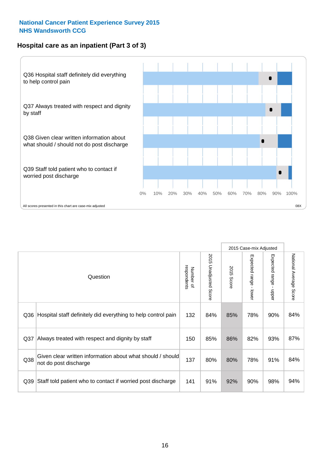### **Hospital care as an inpatient (Part 3 of 3)**



|                 |                                                                                     |                          |                                 |               | 2015 Case-mix Adjusted  |                           |                        |
|-----------------|-------------------------------------------------------------------------------------|--------------------------|---------------------------------|---------------|-------------------------|---------------------------|------------------------|
|                 | Question                                                                            | respondents<br>Number of | 2015<br><b>Unadjusted Score</b> | 2015<br>Score | Expected range<br>lower | Expected range<br>- nbber | National Average Score |
| Q36             | Hospital staff definitely did everything to help control pain                       | 132                      | 84%                             | 85%           | 78%                     | 90%                       | 84%                    |
| Q <sub>37</sub> | Always treated with respect and dignity by staff                                    | 150                      | 85%                             | 86%           | 82%                     | 93%                       | 87%                    |
| Q38             | Given clear written information about what should / should<br>not do post discharge | 137                      | 80%                             | 80%           | 78%                     | 91%                       | 84%                    |
| Q39             | Staff told patient who to contact if worried post discharge                         | 141                      | 91%                             | 92%           | 90%                     | 98%                       | 94%                    |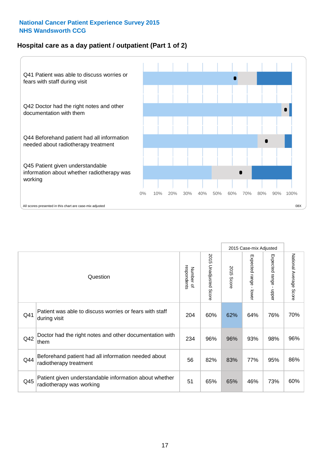### **Hospital care as a day patient / outpatient (Part 1 of 2)**



|     |                                                                                    |                          |                                 | 2015 Case-mix Adjusted |                                           |                                         |                        |
|-----|------------------------------------------------------------------------------------|--------------------------|---------------------------------|------------------------|-------------------------------------------|-----------------------------------------|------------------------|
|     | Question                                                                           | respondents<br>Number of | 2015<br><b>Unadjusted Score</b> | 2015<br><b>Score</b>   | Expected range<br>$\blacksquare$<br>lower | Expected range<br>$\mathbf{I}$<br>nbber | National Average Score |
| Q41 | Patient was able to discuss worries or fears with staff<br>during visit            | 204                      | 60%                             | 62%                    | 64%                                       | 76%                                     | 70%                    |
| Q42 | Doctor had the right notes and other documentation with<br>them                    | 234                      | 96%                             | 96%                    | 93%                                       | 98%                                     | 96%                    |
| Q44 | Beforehand patient had all information needed about<br>radiotherapy treatment      | 56                       | 82%                             | 83%                    | 77%                                       | 95%                                     | 86%                    |
| Q45 | Patient given understandable information about whether<br>radiotherapy was working | 51                       | 65%                             | 65%                    | 46%                                       | 73%                                     | 60%                    |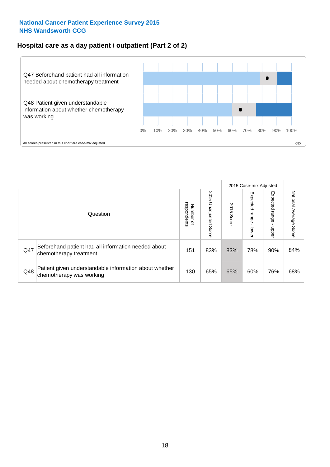### **Hospital care as a day patient / outpatient (Part 2 of 2)**



|     |                                                                                    |                             |                             | 2015 Case-mix Adjusted |                         |                          |                           |
|-----|------------------------------------------------------------------------------------|-----------------------------|-----------------------------|------------------------|-------------------------|--------------------------|---------------------------|
|     | Question                                                                           | respondents<br>Number<br>டி | 2015<br>Unadjusted<br>Score | 2015<br>Score          | Expected range<br>lower | Expected<br>range<br>dda | National Average<br>Score |
| Q47 | Beforehand patient had all information needed about<br>chemotherapy treatment      | 151                         | 83%                         | 83%                    | 78%                     | 90%                      | 84%                       |
| Q48 | Patient given understandable information about whether<br>chemotherapy was working | 130                         | 65%                         | 65%                    | 60%                     | 76%                      | 68%                       |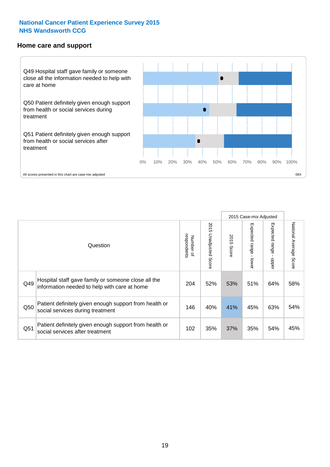#### **Home care and support**



All scores presented in this chart are case-mix adjusted

|                 |                                                                                                     |                          |                       | 2015 Case-mix Adjusted |                         |                         |                                  |
|-----------------|-----------------------------------------------------------------------------------------------------|--------------------------|-----------------------|------------------------|-------------------------|-------------------------|----------------------------------|
|                 | Question                                                                                            | respondents<br>Number of | 2015 Unadjusted Score | 2015<br>Score          | Expected range<br>lower | Expected range<br>nbber | National Average<br><b>Score</b> |
| Q49             | Hospital staff gave family or someone close all the<br>information needed to help with care at home | 204                      | 52%                   | 53%                    | 51%                     | 64%                     | 58%                              |
| Q50             | Patient definitely given enough support from health or<br>social services during treatment          | 146                      | 40%                   | 41%                    | 45%                     | 63%                     | 54%                              |
| Q <sub>51</sub> | Patient definitely given enough support from health or<br>social services after treatment           | 102                      | 35%                   | 37%                    | 35%                     | 54%                     | 45%                              |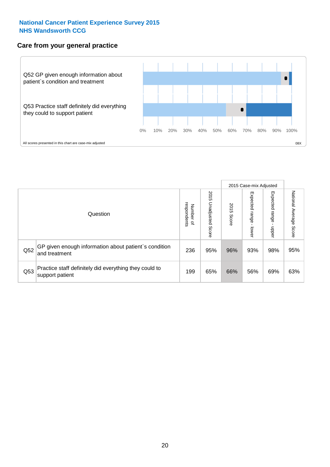### **Care from your general practice**



|     |                                                                           |                                       |                             | 2015 Case-mix Adjusted |                         |                            |                           |
|-----|---------------------------------------------------------------------------|---------------------------------------|-----------------------------|------------------------|-------------------------|----------------------------|---------------------------|
|     | Question                                                                  | respondents<br>Number<br>$\mathbf{Q}$ | 2015<br>Unadjusted<br>Score | 2015<br>Score          | Expected range<br>lower | Expected<br>range<br>nbper | National Average<br>Score |
| Q52 | GP given enough information about patient's condition<br>and treatment    | 236                                   | 95%                         | 96%                    | 93%                     | 98%                        | 95%                       |
| Q53 | Practice staff definitely did everything they could to<br>support patient | 199                                   | 65%                         | 66%                    | 56%                     | 69%                        | 63%                       |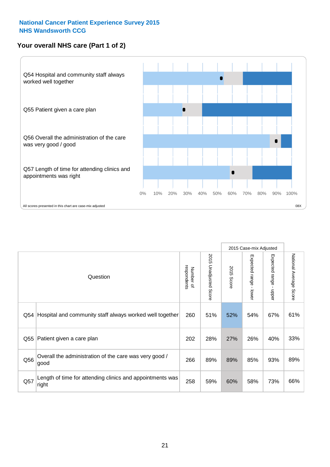# **Your overall NHS care (Part 1 of 2)**



|     |                                                                    |                          |                          | 2015 Case-mix Adjusted |                                           |                                           |                        |
|-----|--------------------------------------------------------------------|--------------------------|--------------------------|------------------------|-------------------------------------------|-------------------------------------------|------------------------|
|     | Question                                                           | respondents<br>Number of | 2015<br>Unadjusted Score | 2015<br>Score          | Expected range<br>$\blacksquare$<br>lower | Expected range<br>$\blacksquare$<br>nbber | National Average Score |
| Q54 | Hospital and community staff always worked well together           | 260                      | 51%                      | 52%                    | 54%                                       | 67%                                       | 61%                    |
| Q55 | Patient given a care plan                                          | 202                      | 28%                      | 27%                    | 26%                                       | 40%                                       | 33%                    |
| Q56 | Overall the administration of the care was very good /<br>good     | 266                      | 89%                      | 89%                    | 85%                                       | 93%                                       | 89%                    |
| Q57 | Length of time for attending clinics and appointments was<br>right | 258                      | 59%                      | 60%                    | 58%                                       | 73%                                       | 66%                    |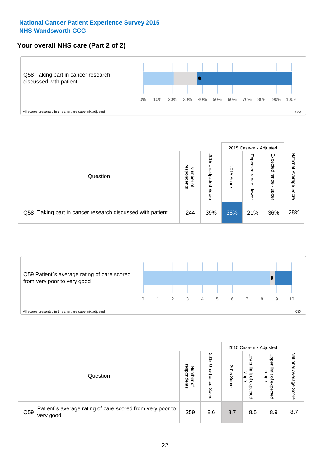### **Your overall NHS care (Part 2 of 2)**



|     |                                                       |                                         |                             |               |                            | 2015 Case-mix Adjusted     |                        |
|-----|-------------------------------------------------------|-----------------------------------------|-----------------------------|---------------|----------------------------|----------------------------|------------------------|
|     | Question                                              | respondents<br>Number<br>$\overline{a}$ | 2015<br>Jnadjusted<br>Score | 2015<br>Score | Expected<br>range<br>lower | Expected<br>range<br>doper | National Average Score |
| Q58 | Taking part in cancer research discussed with patient | 244                                     | 39%                         | 38%           | 21%                        | 36%                        | 28%                    |



|     |                                                                        |                                   |                             |               |                                                           | 2015 Case-mix Adjusted                                |                              |
|-----|------------------------------------------------------------------------|-----------------------------------|-----------------------------|---------------|-----------------------------------------------------------|-------------------------------------------------------|------------------------------|
|     | Question                                                               | respondents<br>Number<br>$\Omega$ | 2015<br>Inadjusted<br>Score | 2015<br>Score | OWer<br>limit<br>range<br>$\overline{\sigma}$<br>expected | Upper<br>limit<br>range<br>$\overline{a}$<br>expected | National<br>Average<br>Score |
| Q59 | Patient's average rating of care scored from very poor to<br>very good | 259                               | 8.6                         | 8.7           | 8.5                                                       | 8.9                                                   | 8.7                          |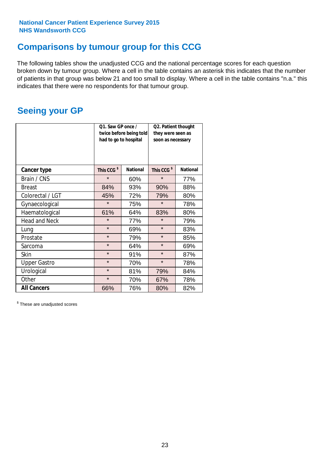# **Comparisons by tumour group for this CCG**

The following tables show the unadjusted CCG and the national percentage scores for each question broken down by tumour group. Where a cell in the table contains an asterisk this indicates that the number of patients in that group was below 21 and too small to display. Where a cell in the table contains "n.a." this indicates that there were no respondents for that tumour group.

# **Seeing your GP**

|                      | Q1. Saw GP once /<br>had to go to hospital | twice before being told | Q2. Patient thought<br>they were seen as<br>soon as necessary |                 |  |
|----------------------|--------------------------------------------|-------------------------|---------------------------------------------------------------|-----------------|--|
| <b>Cancer type</b>   | This CCG <sup>\$</sup>                     | <b>National</b>         | This CCG <sup>\$</sup>                                        | <b>National</b> |  |
| Brain / CNS          | $\star$                                    | 60%                     | $\star$                                                       | 77%             |  |
| <b>Breast</b>        | 84%                                        | 93%                     | 90%                                                           | 88%             |  |
| Colorectal / LGT     | 45%                                        | 72%                     | 79%                                                           | 80%             |  |
| Gynaecological       | $\star$                                    | 75%                     | $\star$                                                       | 78%             |  |
| Haematological       | 61%                                        | 64%                     | 83%                                                           | 80%             |  |
| <b>Head and Neck</b> | $\star$                                    | 77%                     | $\star$                                                       | 79%             |  |
| Lung                 | $\star$                                    | 69%                     | $\star$                                                       | 83%             |  |
| Prostate             | $\star$                                    | 79%                     | $\star$                                                       | 85%             |  |
| Sarcoma              | $\star$                                    | 64%                     | $\star$                                                       | 69%             |  |
| Skin                 | $\star$                                    | 91%                     | $\star$                                                       | 87%             |  |
| <b>Upper Gastro</b>  | $\star$                                    | 70%                     | $\star$                                                       | 78%             |  |
| Urological           | $\star$                                    | 81%                     | 79%                                                           | 84%             |  |
| Other                | $\star$                                    | 70%                     | 67%                                                           | 78%             |  |
| <b>All Cancers</b>   | 66%                                        | 76%                     | 80%                                                           | 82%             |  |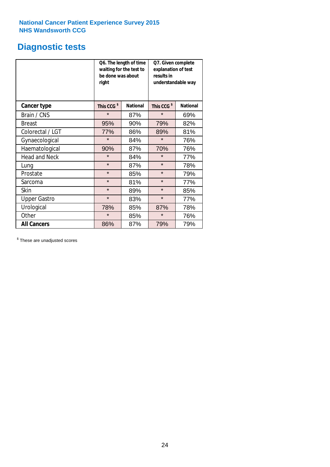# **Diagnostic tests**

|                      | be done was about<br>right | Q6. The length of time<br>waiting for the test to | Q7. Given complete<br>explanation of test<br>results in<br>understandable way |                 |  |
|----------------------|----------------------------|---------------------------------------------------|-------------------------------------------------------------------------------|-----------------|--|
| <b>Cancer type</b>   | This CCG <sup>\$</sup>     | <b>National</b>                                   | This CCG <sup>\$</sup>                                                        | <b>National</b> |  |
| Brain / CNS          | $\star$                    | 87%                                               | $\star$                                                                       | 69%             |  |
| <b>Breast</b>        | 95%                        | 90%                                               | 79%                                                                           | 82%             |  |
| Colorectal / LGT     | 77%                        | 86%                                               | 89%                                                                           | 81%             |  |
| Gynaecological       | $\star$                    | 84%                                               | $\star$                                                                       | 76%             |  |
| Haematological       | 90%                        | 87%                                               | 70%                                                                           | 76%             |  |
| <b>Head and Neck</b> | $\star$                    | 84%                                               | $\star$                                                                       | 77%             |  |
| Lung                 | $\star$                    | 87%                                               | $\star$                                                                       | 78%             |  |
| Prostate             | $\star$                    | 85%                                               | $\star$                                                                       | 79%             |  |
| Sarcoma              | $\star$                    | 81%                                               | $\star$                                                                       | 77%             |  |
| <b>Skin</b>          | $\star$                    | 89%                                               | $\star$                                                                       | 85%             |  |
| <b>Upper Gastro</b>  | $\star$                    | 83%                                               | $\star$                                                                       | 77%             |  |
| Urological           | 78%                        | 85%                                               | 87%                                                                           | 78%             |  |
| Other                | $\star$                    | 85%                                               | $\star$                                                                       | 76%             |  |
| <b>All Cancers</b>   | 86%                        | 87%                                               | 79%                                                                           | 79%             |  |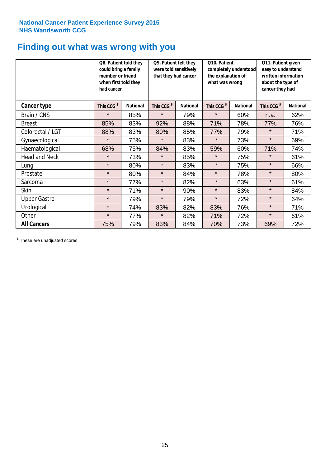# **Finding out what was wrong with you**

|                      | Q8. Patient told they<br>could bring a family<br>member or friend<br>when first told they<br>had cancer |                 | Q9. Patient felt they<br>were told sensitively<br>that they had cancer |                 | Q10. Patient<br>completely understood<br>the explanation of<br>what was wrong |                 | Q11. Patient given<br>easy to understand<br>written information<br>about the type of<br>cancer they had |                 |
|----------------------|---------------------------------------------------------------------------------------------------------|-----------------|------------------------------------------------------------------------|-----------------|-------------------------------------------------------------------------------|-----------------|---------------------------------------------------------------------------------------------------------|-----------------|
| Cancer type          | This CCG <sup>\$</sup>                                                                                  | <b>National</b> | This CCG <sup>\$</sup>                                                 | <b>National</b> | This CCG <sup>\$</sup>                                                        | <b>National</b> | This CCG <sup>\$</sup>                                                                                  | <b>National</b> |
| Brain / CNS          | $\star$                                                                                                 | 85%             | $\star$                                                                | 79%             | $\star$                                                                       | 60%             | n.a.                                                                                                    | 62%             |
| <b>Breast</b>        | 85%                                                                                                     | 83%             | 92%                                                                    | 88%             | 71%                                                                           | 78%             | 77%                                                                                                     | 76%             |
| Colorectal / LGT     | 88%                                                                                                     | 83%             | 80%                                                                    | 85%             | 77%                                                                           | 79%             | $\star$                                                                                                 | 71%             |
| Gynaecological       | $\star$                                                                                                 | 75%             | $\star$                                                                | 83%             | $\star$                                                                       | 73%             | $\star$                                                                                                 | 69%             |
| Haematological       | 68%                                                                                                     | 75%             | 84%                                                                    | 83%             | 59%                                                                           | 60%             | 71%                                                                                                     | 74%             |
| <b>Head and Neck</b> | $\star$                                                                                                 | 73%             | $\star$                                                                | 85%             | $\star$                                                                       | 75%             | $\star$                                                                                                 | 61%             |
| Lung                 | $\star$                                                                                                 | 80%             | $\star$                                                                | 83%             | $\star$                                                                       | 75%             | $\star$                                                                                                 | 66%             |
| Prostate             | $\star$                                                                                                 | 80%             | $\star$                                                                | 84%             | $\star$                                                                       | 78%             | $\star$                                                                                                 | 80%             |
| Sarcoma              | $\star$                                                                                                 | 77%             | $\star$                                                                | 82%             | $\star$                                                                       | 63%             | $\star$                                                                                                 | 61%             |
| Skin                 | $\star$                                                                                                 | 71%             | $\star$                                                                | 90%             | $\star$                                                                       | 83%             | $\star$                                                                                                 | 84%             |
| <b>Upper Gastro</b>  | $\star$                                                                                                 | 79%             | $\star$                                                                | 79%             | $\star$                                                                       | 72%             | $\star$                                                                                                 | 64%             |
| Urological           | $\star$                                                                                                 | 74%             | 83%                                                                    | 82%             | 83%                                                                           | 76%             | $\star$                                                                                                 | 71%             |
| Other                | $\star$                                                                                                 | 77%             | $\star$                                                                | 82%             | 71%                                                                           | 72%             | $\star$                                                                                                 | 61%             |
| <b>All Cancers</b>   | 75%                                                                                                     | 79%             | 83%                                                                    | 84%             | 70%                                                                           | 73%             | 69%                                                                                                     | 72%             |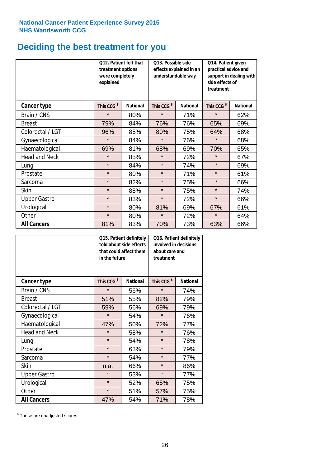# **Deciding the best treatment for you**

|                      | 012. Patient felt that<br>treatment options<br>were completely<br>explained |                 | O13. Possible side<br>understandable way | effects explained in an | Q14. Patient given<br>practical advice and<br>support in dealing with<br>side effects of<br>treatment |                 |  |
|----------------------|-----------------------------------------------------------------------------|-----------------|------------------------------------------|-------------------------|-------------------------------------------------------------------------------------------------------|-----------------|--|
| <b>Cancer type</b>   | This CCG <sup>\$</sup>                                                      | <b>National</b> | This CCG <sup>\$</sup>                   | <b>National</b>         | This CCG <sup>\$</sup>                                                                                | <b>National</b> |  |
| Brain / CNS          | $\star$                                                                     | 80%             | $\star$                                  | 71%                     | $\star$                                                                                               | 62%             |  |
| <b>Breast</b>        | 79%                                                                         | 84%             | 76%                                      | 76%                     | 65%                                                                                                   | 69%             |  |
| Colorectal / LGT     | 96%                                                                         | 85%             | 80%                                      | 75%                     | 64%                                                                                                   | 68%             |  |
| Gynaecological       | $\star$                                                                     | 84%             | $\star$                                  | 76%                     | $\star$                                                                                               | 68%             |  |
| Haematological       | 69%                                                                         | 81%             | 68%                                      | 69%                     | 70%                                                                                                   | 65%             |  |
| <b>Head and Neck</b> | $\star$                                                                     | 85%             | $\star$                                  | 72%                     | $\star$                                                                                               | 67%             |  |
| Lung                 | $\star$                                                                     | 84%             | $\star$                                  | 74%                     | $\star$                                                                                               | 69%             |  |
| Prostate             | $\star$                                                                     | 80%             | $\star$                                  | 71%                     | $\star$                                                                                               | 61%             |  |
| Sarcoma              | $\star$                                                                     | 82%             | $\star$                                  | 75%                     | $\star$                                                                                               | 66%             |  |
| Skin                 | $\star$                                                                     | 88%             | $\star$                                  | 75%                     | $\star$                                                                                               | 74%             |  |
| <b>Upper Gastro</b>  | $\star$                                                                     | 83%             | $\star$                                  | 72%                     | $\star$                                                                                               | 66%             |  |
| Urological           | $\star$                                                                     | 80%             | 81%                                      | 69%                     | 67%                                                                                                   | 61%             |  |
| Other                | $\star$                                                                     | 80%             | $\star$                                  | 72%                     | $\star$                                                                                               | 64%             |  |
| <b>All Cancers</b>   | 81%                                                                         | 83%             | 70%                                      | 73%                     | 63%                                                                                                   | 66%             |  |

|                      | in the future          | Q15. Patient definitely<br>told about side effects<br>that could affect them | Q16. Patient definitely<br>involved in decisions<br>about care and<br>treatment |                 |  |
|----------------------|------------------------|------------------------------------------------------------------------------|---------------------------------------------------------------------------------|-----------------|--|
| <b>Cancer type</b>   | This CCG <sup>\$</sup> | <b>National</b>                                                              | This CCG <sup>\$</sup>                                                          | <b>National</b> |  |
| Brain / CNS          | $\star$                | 56%                                                                          | $\star$                                                                         | 74%             |  |
| <b>Breast</b>        | 51%                    | 55%                                                                          | 82%                                                                             | 79%             |  |
| Colorectal / LGT     | 59%                    | 56%                                                                          | 69%                                                                             | 79%             |  |
| Gynaecological       | $\star$                | 54%                                                                          |                                                                                 | 76%             |  |
| Haematological       | 47%<br>50%             |                                                                              | 72%                                                                             | 77%             |  |
| <b>Head and Neck</b> | $\star$                | 58%                                                                          | $\star$                                                                         | 76%             |  |
| Lung                 | $\star$                | 54%                                                                          | $\star$                                                                         | 78%             |  |
| Prostate             | $\star$                | 63%                                                                          | $\star$                                                                         | 79%             |  |
| Sarcoma              | $\star$                | 54%                                                                          | $\star$                                                                         | 77%             |  |
| <b>Skin</b>          | n.a.                   | 66%                                                                          | $\star$                                                                         | 86%             |  |
| <b>Upper Gastro</b>  | $\star$                | 53%                                                                          | $\star$                                                                         | 77%             |  |
| Urological           | $\star$                | 52%                                                                          | 65%                                                                             | 75%             |  |
| Other                | $\star$                | 51%                                                                          | 57%                                                                             | 75%             |  |
| <b>All Cancers</b>   | 47%                    | 54%                                                                          | 71%                                                                             | 78%             |  |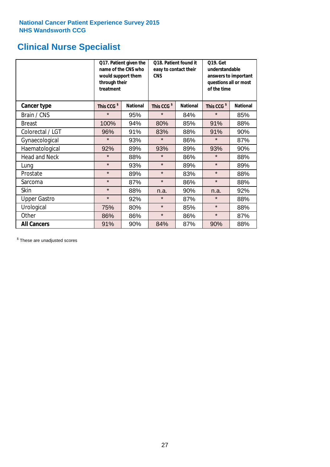# **Clinical Nurse Specialist**

|                      | would support them<br>through their<br>treatment | Q17. Patient given the<br>name of the CNS who | Q18. Patient found it<br>easy to contact their<br><b>CNS</b> |                 | <b>Q19. Get</b><br>understandable<br>answers to important<br>questions all or most<br>of the time |                 |
|----------------------|--------------------------------------------------|-----------------------------------------------|--------------------------------------------------------------|-----------------|---------------------------------------------------------------------------------------------------|-----------------|
| <b>Cancer type</b>   | This CCG <sup>\$</sup>                           | <b>National</b>                               | This CCG <sup>\$</sup>                                       | <b>National</b> | This CCG <sup>\$</sup>                                                                            | <b>National</b> |
| Brain / CNS          | $\star$                                          | 95%                                           | $\star$                                                      | 84%             | $\star$                                                                                           | 85%             |
| <b>Breast</b>        | 100%                                             | 94%                                           | 80%                                                          | 85%             | 91%                                                                                               | 88%             |
| Colorectal / LGT     | 96%                                              | 91%                                           | 83%                                                          | 88%             | 91%                                                                                               | 90%             |
| Gynaecological       | $\star$                                          | 93%                                           | $\star$                                                      | 86%             | $\star$                                                                                           | 87%             |
| Haematological       | 92%                                              | 89%                                           | 93%                                                          | 89%             | 93%                                                                                               | 90%             |
| <b>Head and Neck</b> | $\star$                                          | 88%                                           | $\star$                                                      | 86%             | $\star$                                                                                           | 88%             |
| Lung                 | $\star$                                          | 93%                                           | $\star$                                                      | 89%             | $\star$                                                                                           | 89%             |
| Prostate             | $\star$                                          | 89%                                           | $\star$                                                      | 83%             | $\star$                                                                                           | 88%             |
| Sarcoma              | $\star$                                          | 87%                                           | $\star$                                                      | 86%             | $\star$                                                                                           | 88%             |
| Skin                 | $\star$                                          | 88%                                           | n.a.                                                         | 90%             | n.a.                                                                                              | 92%             |
| <b>Upper Gastro</b>  | $\star$                                          | 92%                                           | $\star$                                                      | 87%             | $\star$                                                                                           | 88%             |
| Urological           | 75%                                              | 80%                                           | $\star$                                                      | 85%             | $\star$                                                                                           | 88%             |
| Other                | 86%                                              | 86%                                           | $\star$                                                      | 86%             | $\star$                                                                                           | 87%             |
| <b>All Cancers</b>   | 91%                                              | 90%                                           | 84%                                                          | 87%             | 90%                                                                                               | 88%             |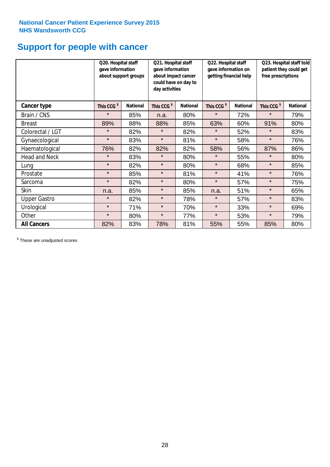# **Support for people with cancer**

|                      |                        | Q20. Hospital staff<br>gave information<br>about support groups |                        | Q21. Hospital staff<br>gave information<br>about impact cancer<br>could have on day to<br>day activities | Q22. Hospital staff<br>gave information on<br>getting financial help |                 | Q23. Hospital staff told<br>patient they could get<br>free prescriptions |                 |
|----------------------|------------------------|-----------------------------------------------------------------|------------------------|----------------------------------------------------------------------------------------------------------|----------------------------------------------------------------------|-----------------|--------------------------------------------------------------------------|-----------------|
| Cancer type          | This CCG <sup>\$</sup> | <b>National</b>                                                 | This CCG <sup>\$</sup> | <b>National</b>                                                                                          | This CCG <sup>\$</sup>                                               | <b>National</b> | This CCG <sup>\$</sup>                                                   | <b>National</b> |
| Brain / CNS          | $\star$                | 85%                                                             | n.a.                   | 80%                                                                                                      | $\star$                                                              | 72%             | $\star$                                                                  | 79%             |
| <b>Breast</b>        | 89%                    | 88%                                                             | 88%                    | 85%                                                                                                      | 63%                                                                  | 60%             | 91%                                                                      | 80%             |
| Colorectal / LGT     | $\star$                | 82%                                                             | $\star$                | 82%                                                                                                      | $\star$                                                              | 52%             | $\star$                                                                  | 83%             |
| Gynaecological       | $\star$                | 83%                                                             | $\star$                | 81%                                                                                                      | $\star$                                                              | 58%             | $\star$                                                                  | 76%             |
| Haematological       | 76%                    | 82%                                                             | 82%                    | 82%                                                                                                      | 58%                                                                  | 56%             | 87%                                                                      | 86%             |
| <b>Head and Neck</b> | $\star$                | 83%                                                             | $\star$                | 80%                                                                                                      | $\star$                                                              | 55%             | $\star$                                                                  | 80%             |
| Lung                 | $\star$                | 82%                                                             | $\star$                | 80%                                                                                                      | $\star$                                                              | 68%             | $\star$                                                                  | 85%             |
| Prostate             | $\star$                | 85%                                                             | $\star$                | 81%                                                                                                      | $\star$                                                              | 41%             | $\star$                                                                  | 76%             |
| Sarcoma              | $\star$                | 82%                                                             | $\star$                | 80%                                                                                                      | $\star$                                                              | 57%             | $\star$                                                                  | 75%             |
| Skin                 | n.a.                   | 85%                                                             | $\star$                | 85%                                                                                                      | n.a.                                                                 | 51%             | $\star$                                                                  | 65%             |
| <b>Upper Gastro</b>  | $\star$                | 82%                                                             | $\star$                | 78%                                                                                                      | $\star$                                                              | 57%             | $\star$                                                                  | 83%             |
| Urological           | $\star$                | 71%                                                             | $\star$                | 70%                                                                                                      | $\star$                                                              | 33%             | $\star$                                                                  | 69%             |
| Other                | $\star$                | 80%                                                             | $\star$                | 77%                                                                                                      | $\star$                                                              | 53%             | $\star$                                                                  | 79%             |
| <b>All Cancers</b>   | 82%                    | 83%                                                             | 78%                    | 81%                                                                                                      | 55%                                                                  | 55%             | 85%                                                                      | 80%             |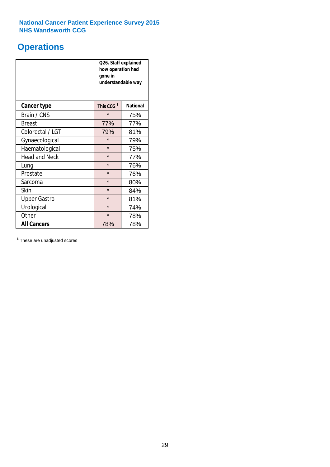# **Operations**

|                      | Q26. Staff explained<br>how operation had<br>gone in<br>understandable way |                 |  |  |  |
|----------------------|----------------------------------------------------------------------------|-----------------|--|--|--|
| <b>Cancer type</b>   | This CCG <sup>\$</sup>                                                     | <b>National</b> |  |  |  |
| Brain / CNS          | $\star$                                                                    | 75%             |  |  |  |
| <b>Breast</b>        | 77%                                                                        | 77%             |  |  |  |
| Colorectal / LGT     | 79%                                                                        | 81%             |  |  |  |
| Gynaecological       | $\star$                                                                    | 79%             |  |  |  |
| Haematological       | $\star$<br>75%                                                             |                 |  |  |  |
| <b>Head and Neck</b> | $\star$                                                                    | 77%             |  |  |  |
| Lung                 | $\star$                                                                    | 76%             |  |  |  |
| Prostate             | $\star$                                                                    | 76%             |  |  |  |
| Sarcoma              | $\star$                                                                    | 80%             |  |  |  |
| Skin                 | $\star$                                                                    | 84%             |  |  |  |
| <b>Upper Gastro</b>  | $\star$                                                                    | 81%             |  |  |  |
| Urological           | $\star$                                                                    | 74%             |  |  |  |
| Other                | $\star$<br>78%                                                             |                 |  |  |  |
| <b>All Cancers</b>   | 78%<br>78%                                                                 |                 |  |  |  |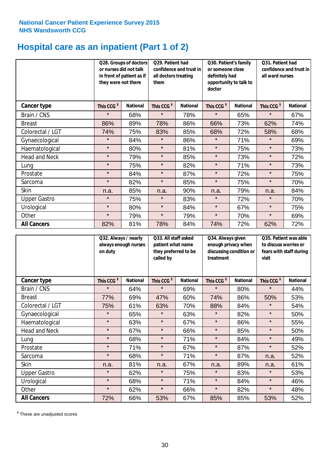# **Hospital care as an inpatient (Part 1 of 2)**

|                      | or nurses did not talk<br>they were not there | Q28. Groups of doctors<br>in front of patient as if | Q29. Patient had<br>confidence and trust in<br>all doctors treating<br>them |                 | Q30. Patient's family<br>or someone close<br>definitely had<br>opportunity to talk to<br>doctor |                 | Q31. Patient had<br>confidence and trust in I<br>all ward nurses |                 |
|----------------------|-----------------------------------------------|-----------------------------------------------------|-----------------------------------------------------------------------------|-----------------|-------------------------------------------------------------------------------------------------|-----------------|------------------------------------------------------------------|-----------------|
| <b>Cancer type</b>   | This CCG <sup>\$</sup>                        | <b>National</b>                                     | This CCG <sup>\$</sup>                                                      | <b>National</b> | This CCG <sup>\$</sup>                                                                          | <b>National</b> | This CCG <sup>\$</sup>                                           | <b>National</b> |
| Brain / CNS          | $\star$                                       | 68%                                                 | $\star$                                                                     | 78%             | $\star$                                                                                         | 65%             | $\star$                                                          | 67%             |
| <b>Breast</b>        | 86%                                           | 89%                                                 | 78%                                                                         | 86%             | 66%                                                                                             | 73%             | 62%                                                              | 74%             |
| Colorectal / LGT     | 74%                                           | 75%                                                 | 83%                                                                         | 85%             | 68%                                                                                             | 72%             | 58%                                                              | 68%             |
| Gynaecological       | $\star$                                       | 84%                                                 | $\star$                                                                     | 86%             | $\star$                                                                                         | 71%             | $\star$                                                          | 69%             |
| Haematological       | $\star$                                       | 80%                                                 | $\star$                                                                     | 81%             | $\star$                                                                                         | 75%             | $\star$                                                          | 73%             |
| <b>Head and Neck</b> | $\star$                                       | 79%                                                 | $\star$                                                                     | 85%             | $\star$                                                                                         | 73%             | $\star$                                                          | 72%             |
| Lung                 | $\star$                                       | 75%                                                 | $\star$                                                                     | 82%             | $\star$                                                                                         | 71%             | $\star$                                                          | 73%             |
| Prostate             | $\star$                                       | 84%                                                 | $\star$                                                                     | 87%             | $\star$                                                                                         | 72%             | $\star$                                                          | 75%             |
| Sarcoma              | $\star$                                       | 82%                                                 | $\star$                                                                     | 85%             | $\star$                                                                                         | 75%             | $\star$                                                          | 70%             |
| Skin                 | n.a.                                          | 85%                                                 | n.a.                                                                        | 90%             | n.a.                                                                                            | 79%             | n.a.                                                             | 84%             |
| <b>Upper Gastro</b>  | $\star$                                       | 75%                                                 | $\star$                                                                     | 83%             | $\star$                                                                                         | 72%             | $\star$                                                          | 70%             |
| Urological           | $\star$                                       | 80%                                                 | $\star$                                                                     | 84%             | $\star$                                                                                         | 67%             | $\star$                                                          | 75%             |
| Other                | $\star$                                       | 79%                                                 | $\star$                                                                     | 79%             | $\star$                                                                                         | 70%             | $\star$                                                          | 69%             |
| <b>All Cancers</b>   | 82%                                           | 81%                                                 | 78%                                                                         | 84%             | 74%                                                                                             | 72%             | 62%                                                              | 72%             |

|                      | on duty                | Q32. Always / nearly<br>Q33. All staff asked<br>always enough nurses<br>patient what name<br>they preferred to be<br>called by |                        |                 | Q34. Always given<br>treatment | enough privacy when<br>discussing condition or | Q35. Patient was able<br>to discuss worries or<br>fears with staff during<br>visit |                 |
|----------------------|------------------------|--------------------------------------------------------------------------------------------------------------------------------|------------------------|-----------------|--------------------------------|------------------------------------------------|------------------------------------------------------------------------------------|-----------------|
| <b>Cancer type</b>   | This CCG <sup>\$</sup> | <b>National</b>                                                                                                                | This CCG <sup>\$</sup> | <b>National</b> | This CCG <sup>\$</sup>         | <b>National</b>                                | This CCG <sup>\$</sup>                                                             | <b>National</b> |
| Brain / CNS          | $\star$                | 64%                                                                                                                            | $\star$                | 69%             | $\star$                        | 80%                                            | $\star$                                                                            | 44%             |
| <b>Breast</b>        | 77%                    | 69%                                                                                                                            | 47%                    | 60%             | 74%                            | 86%                                            | 50%                                                                                | 53%             |
| Colorectal / LGT     | 75%                    | 61%                                                                                                                            | 63%                    | 70%             | 88%                            | 84%                                            | $\star$                                                                            | 54%             |
| Gynaecological       | $\star$                | 65%                                                                                                                            | $\star$                | 63%             | $\star$                        | 82%                                            | $\star$                                                                            | 50%             |
| Haematological       | $\star$                | 63%                                                                                                                            | $\star$                | 67%             | $\star$                        | 86%                                            | $\star$                                                                            | 55%             |
| <b>Head and Neck</b> | $\star$                | 67%                                                                                                                            | $\star$                | 66%             | $\star$                        | 85%                                            | $\star$                                                                            | 50%             |
| Lung                 | $\star$                | 68%                                                                                                                            | $\star$                | 71%             | $\star$                        | 84%                                            | $\star$                                                                            | 49%             |
| Prostate             | $\star$                | 71%                                                                                                                            | $\star$                | 67%             | $\star$                        | 87%                                            | $\star$                                                                            | 52%             |
| Sarcoma              | $\star$                | 68%                                                                                                                            | $\star$                | 71%             | $\star$                        | 87%                                            | n.a.                                                                               | 52%             |
| Skin                 | n.a.                   | 81%                                                                                                                            | n.a.                   | 67%             | n.a.                           | 89%                                            | n.a.                                                                               | 61%             |
| <b>Upper Gastro</b>  | $\star$                | 62%                                                                                                                            | $\star$                | 75%             | $\star$                        | 83%                                            | $\star$                                                                            | 53%             |
| Urological           | $\star$                | 68%                                                                                                                            | $\star$                | 71%             | $\star$                        | 84%                                            | $\star$                                                                            | 46%             |
| Other                | $\star$                | 62%                                                                                                                            | $\star$                | 66%             | $\star$                        | 82%                                            | $\star$                                                                            | 48%             |
| <b>All Cancers</b>   | 72%                    | 66%                                                                                                                            | 53%                    | 67%             | 85%                            | 85%                                            | 53%                                                                                | 52%             |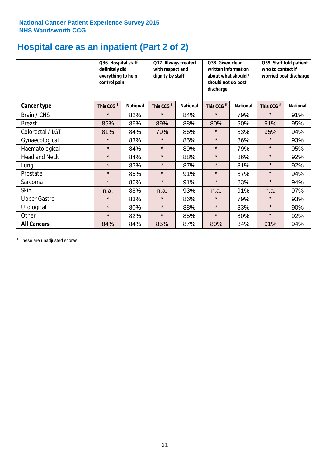# **Hospital care as an inpatient (Part 2 of 2)**

|                      | Q36. Hospital staff<br>definitely did<br>everything to help<br>control pain |                 | Q37. Always treated<br>with respect and<br>dignity by staff |                 | Q38. Given clear<br>written information<br>about what should /<br>should not do post<br>discharge |                 | Q39. Staff told patient<br>who to contact if<br>worried post discharge |                 |  |
|----------------------|-----------------------------------------------------------------------------|-----------------|-------------------------------------------------------------|-----------------|---------------------------------------------------------------------------------------------------|-----------------|------------------------------------------------------------------------|-----------------|--|
| Cancer type          | This CCG <sup>\$</sup>                                                      | <b>National</b> | This CCG <sup>\$</sup>                                      | <b>National</b> | This CCG <sup>\$</sup>                                                                            | <b>National</b> | This CCG <sup>\$</sup>                                                 | <b>National</b> |  |
| Brain / CNS          | $\star$                                                                     | 82%             | $\star$                                                     | 84%             | $\star$                                                                                           | 79%             | $\star$                                                                | 91%             |  |
| <b>Breast</b>        | 85%                                                                         | 86%             | 89%                                                         | 88%             | 80%                                                                                               | 90%             | 91%                                                                    | 95%             |  |
| Colorectal / LGT     | 81%                                                                         | 84%             | 79%                                                         | 86%             | $\star$                                                                                           | 83%             | 95%                                                                    | 94%             |  |
| Gynaecological       | $\star$                                                                     | 83%             | $\star$                                                     | 85%             | $\star$                                                                                           | 86%             | $\star$                                                                | 93%             |  |
| Haematological       | $\star$                                                                     | 84%             | $\star$                                                     | 89%             | $\star$                                                                                           | 79%             | $\star$                                                                | 95%             |  |
| <b>Head and Neck</b> | $\star$                                                                     | 84%             | $\star$                                                     | 88%             | $\star$                                                                                           | 86%             | $\star$                                                                | 92%             |  |
| Lung                 | $\star$                                                                     | 83%             | $\star$                                                     | 87%             | $\star$                                                                                           | 81%             | $\star$                                                                | 92%             |  |
| Prostate             | $\star$                                                                     | 85%             | $\star$                                                     | 91%             | $\star$                                                                                           | 87%             | $\star$                                                                | 94%             |  |
| Sarcoma              | $\star$                                                                     | 86%             | $\star$                                                     | 91%             | $\star$                                                                                           | 83%             | $\star$                                                                | 94%             |  |
| Skin                 | n.a.                                                                        | 88%             | n.a.                                                        | 93%             | n.a.                                                                                              | 91%             | n.a.                                                                   | 97%             |  |
| <b>Upper Gastro</b>  | $\star$                                                                     | 83%             | $\star$                                                     | 86%             | $\star$                                                                                           | 79%             | $\star$                                                                | 93%             |  |
| Urological           | $\star$                                                                     | 80%             | $\star$                                                     | 88%             | $\star$                                                                                           | 83%             | $\star$                                                                | 90%             |  |
| Other                | $\star$                                                                     | 82%             | $\star$                                                     | 85%             | $\star$                                                                                           | 80%             | $\star$                                                                | 92%             |  |
| <b>All Cancers</b>   | 84%                                                                         | 84%             | 85%                                                         | 87%             | 80%                                                                                               | 84%             | 91%                                                                    | 94%             |  |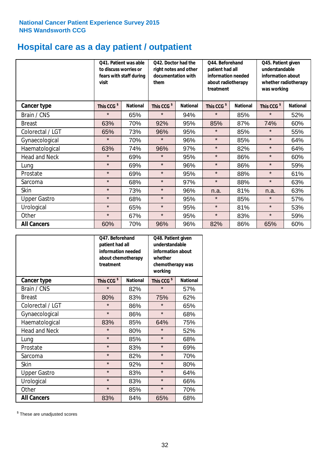# **Hospital care as a day patient / outpatient**

|                      | to discuss worries or<br>visit | Q41. Patient was able<br>Q42. Doctor had the<br>right notes and other<br>documentation with<br>fears with staff during<br>them |                        | Q44. Beforehand<br>patient had all<br>information needed<br>about radiotherapy<br>treatment |                        | Q45. Patient given<br>understandable<br>information about<br>whether radiotherapy<br>was working |                        |                 |
|----------------------|--------------------------------|--------------------------------------------------------------------------------------------------------------------------------|------------------------|---------------------------------------------------------------------------------------------|------------------------|--------------------------------------------------------------------------------------------------|------------------------|-----------------|
| Cancer type          | This CCG <sup>\$</sup>         | <b>National</b>                                                                                                                | This CCG <sup>\$</sup> | <b>National</b>                                                                             | This CCG <sup>\$</sup> | <b>National</b>                                                                                  | This CCG <sup>\$</sup> | <b>National</b> |
| Brain / CNS          | $\star$                        | 65%                                                                                                                            | $\star$                | 94%                                                                                         | $\star$                | 85%                                                                                              | $\star$                | 52%             |
| <b>Breast</b>        | 63%                            | 70%                                                                                                                            | 92%                    | 95%                                                                                         | 85%                    | 87%                                                                                              | 74%                    | 60%             |
| Colorectal / LGT     | 65%                            | 73%                                                                                                                            | 96%                    | 95%                                                                                         | $\star$                | 85%                                                                                              | $\star$                | 55%             |
| Gynaecological       | $\star$                        | 70%                                                                                                                            | $\star$                | 96%                                                                                         | $\star$                | 85%                                                                                              | $\star$                | 64%             |
| Haematological       | 63%                            | 74%                                                                                                                            | 96%                    | 97%                                                                                         | $\star$                | 82%                                                                                              | $\star$                | 64%             |
| <b>Head and Neck</b> | $\star$                        | 69%                                                                                                                            | $\star$                | 95%                                                                                         | $\star$                | 86%                                                                                              | $\star$                | 60%             |
| Lung                 | $\star$                        | 69%                                                                                                                            | $\star$                | 96%                                                                                         | $\star$                | 86%                                                                                              | $\star$                | 59%             |
| Prostate             | $\star$                        | 69%                                                                                                                            | $\star$                | 95%                                                                                         | $\star$                | 88%                                                                                              | $\star$                | 61%             |
| Sarcoma              | $\star$                        | 68%                                                                                                                            | $\star$                | 97%                                                                                         | $\star$                | 88%                                                                                              | $\star$                | 63%             |
| Skin                 | $\star$                        | 73%                                                                                                                            | $\star$                | 96%                                                                                         | n.a.                   | 81%                                                                                              | n.a.                   | 63%             |
| <b>Upper Gastro</b>  | $\star$                        | 68%                                                                                                                            | $\star$                | 95%                                                                                         | $\star$                | 85%                                                                                              | $\star$                | 57%             |
| Urological           | $\star$                        | 65%                                                                                                                            | $\star$                | 95%                                                                                         | $\star$                | 81%                                                                                              | $\star$                | 53%             |
| Other                | $\star$                        | 67%                                                                                                                            | $\star$                | 95%                                                                                         | $\star$                | 83%                                                                                              | $\star$                | 59%             |
| <b>All Cancers</b>   | 60%                            | 70%                                                                                                                            | 96%                    | 96%                                                                                         | 82%                    | 86%                                                                                              | 65%                    | 60%             |

|                      | O47. Beforehand<br>patient had all<br>information needed<br>treatment | about chemotherapy | Q48. Patient given<br>understandable<br>information about<br>whether<br>chemotherapy was<br>working |                 |  |
|----------------------|-----------------------------------------------------------------------|--------------------|-----------------------------------------------------------------------------------------------------|-----------------|--|
| <b>Cancer type</b>   | This CCG <sup>\$</sup>                                                | <b>National</b>    | This CCG <sup>\$</sup>                                                                              | <b>National</b> |  |
| Brain / CNS          | $\star$                                                               | 82%                | $\star$                                                                                             | 57%             |  |
| <b>Breast</b>        | 80%                                                                   | 83%                | 75%                                                                                                 | 62%             |  |
| Colorectal / LGT     | $\star$                                                               | 86%                | $\star$                                                                                             | 65%             |  |
| Gynaecological       | $\star$                                                               | 86%                | $\star$                                                                                             | 68%             |  |
| Haematological       | 83%                                                                   | 85%                |                                                                                                     | 75%             |  |
| <b>Head and Neck</b> | $\star$                                                               | 80%                | $\star$                                                                                             | 52%             |  |
| Lung                 | $\star$                                                               | 85%                | $\star$                                                                                             | 68%             |  |
| Prostate             | $\star$                                                               | 83%                | $\star$                                                                                             | 69%             |  |
| Sarcoma              | $\star$                                                               | 82%                | $\star$                                                                                             | 70%             |  |
| Skin                 | $\star$                                                               | 92%                | $\star$                                                                                             | 80%             |  |
| <b>Upper Gastro</b>  | $\star$                                                               | 83%                | $\star$                                                                                             | 64%             |  |
| Urological           | $\star$                                                               | 83%                | $\star$                                                                                             | 66%             |  |
| Other                | $\star$                                                               | 85%                | $\star$                                                                                             | 70%             |  |
| <b>All Cancers</b>   | 83%                                                                   | 84%                | 65%                                                                                                 | 68%             |  |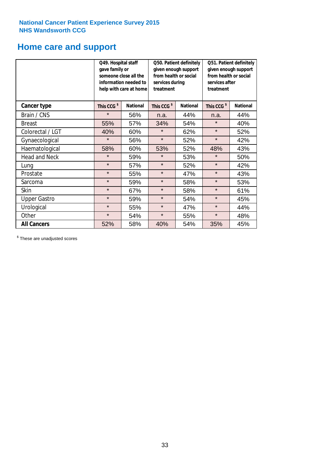# **Home care and support**

|                      | gave family or         | Q49. Hospital staff<br>Q50. Patient definitely<br>given enough support<br>from health or social<br>someone close all the<br>information needed to<br>services during<br>treatment<br>help with care at home |                        | Q51. Patient definitely<br>given enough support<br>from health or social<br>services after<br>treatment |                        |                 |
|----------------------|------------------------|-------------------------------------------------------------------------------------------------------------------------------------------------------------------------------------------------------------|------------------------|---------------------------------------------------------------------------------------------------------|------------------------|-----------------|
| <b>Cancer type</b>   | This CCG <sup>\$</sup> | <b>National</b>                                                                                                                                                                                             | This CCG <sup>\$</sup> | <b>National</b>                                                                                         | This CCG <sup>\$</sup> | <b>National</b> |
| Brain / CNS          | $\star$                | 56%                                                                                                                                                                                                         | n.a.                   | 44%                                                                                                     | n.a.                   | 44%             |
| <b>Breast</b>        | 55%                    | 57%                                                                                                                                                                                                         | 34%                    | 54%                                                                                                     | $\star$                | 40%             |
| Colorectal / LGT     | 40%                    | 60%                                                                                                                                                                                                         | $\star$                | 62%                                                                                                     | $\star$                | 52%             |
| Gynaecological       | $\star$                | 56%                                                                                                                                                                                                         | $\star$                | 52%                                                                                                     | $\star$                | 42%             |
| Haematological       | 58%                    | 60%                                                                                                                                                                                                         | 53%                    | 52%                                                                                                     | 48%                    | 43%             |
| <b>Head and Neck</b> | $\star$                | 59%                                                                                                                                                                                                         | $\star$                | 53%                                                                                                     | $\star$                | 50%             |
| Lung                 | $\star$                | 57%                                                                                                                                                                                                         | $\star$                | 52%                                                                                                     | $\star$                | 42%             |
| Prostate             | $\star$                | 55%                                                                                                                                                                                                         | $\star$                | 47%                                                                                                     | $\star$                | 43%             |
| Sarcoma              | $\star$                | 59%                                                                                                                                                                                                         | $\star$                | 58%                                                                                                     | $\star$                | 53%             |
| Skin                 | $\star$                | 67%                                                                                                                                                                                                         | $\star$                | 58%                                                                                                     | $\star$                | 61%             |
| <b>Upper Gastro</b>  | $\star$                | 59%                                                                                                                                                                                                         | $\star$                | 54%                                                                                                     | $\star$                | 45%             |
| Urological           | $\star$                | 55%                                                                                                                                                                                                         | $\star$                | 47%                                                                                                     | $\star$                | 44%             |
| Other                | $\star$                | 54%                                                                                                                                                                                                         | $\star$<br>55%         |                                                                                                         | $\star$                | 48%             |
| <b>All Cancers</b>   | 52%                    | 58%                                                                                                                                                                                                         | 40%                    | 54%                                                                                                     | 35%                    | 45%             |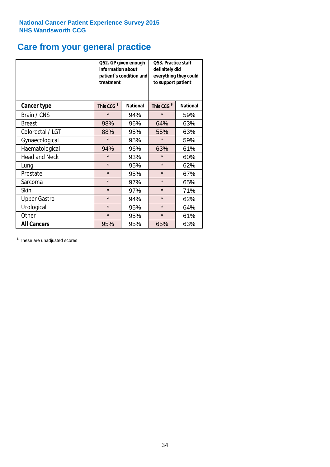# **Care from your general practice**

|                      | information about<br>treatment | Q52. GP given enough<br>patient's condition and | O53. Practice staff<br>definitely did<br>everything they could<br>to support patient |                 |  |
|----------------------|--------------------------------|-------------------------------------------------|--------------------------------------------------------------------------------------|-----------------|--|
| <b>Cancer type</b>   | This CCG <sup>\$</sup>         | <b>National</b>                                 | This CCG <sup>\$</sup>                                                               | <b>National</b> |  |
| Brain / CNS          | $\star$                        | 94%                                             | $\star$                                                                              | 59%             |  |
| <b>Breast</b>        | 98%                            | 96%                                             | 64%                                                                                  | 63%             |  |
| Colorectal / LGT     | 88%                            | 95%                                             | 55%                                                                                  | 63%             |  |
| Gynaecological       | $\star$<br>95%                 |                                                 | $\star$                                                                              | 59%             |  |
| Haematological       | 94%                            | 96%                                             | 63%                                                                                  | 61%             |  |
| <b>Head and Neck</b> | $\star$                        | 93%                                             | $\star$                                                                              | 60%             |  |
| Lung                 | $\star$                        | 95%                                             | $\star$                                                                              | 62%             |  |
| Prostate             | $\star$                        | 95%                                             | $\star$                                                                              | 67%             |  |
| Sarcoma              | $\star$                        | 97%                                             | $\star$                                                                              | 65%             |  |
| Skin                 | $\star$                        | 97%                                             | $\star$                                                                              | 71%             |  |
| <b>Upper Gastro</b>  | $\star$                        | 94%                                             | $\star$                                                                              | 62%             |  |
| Urological           | $\star$                        | 95%                                             | $\star$                                                                              | 64%             |  |
| Other                | $\star$                        | 95%                                             | $\star$                                                                              | 61%             |  |
| <b>All Cancers</b>   | 95%                            | 95%                                             | 65%                                                                                  | 63%             |  |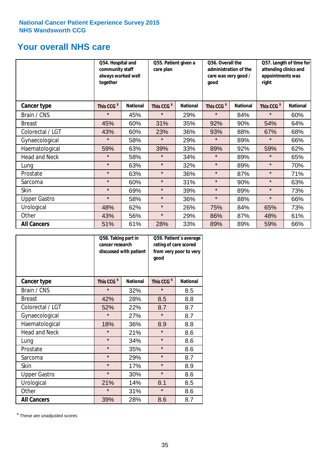# **Your overall NHS care**

|                      | Q54. Hospital and<br>community staff<br>always worked well<br>together |                 | care plan              | Q55. Patient given a |                        | Q56. Overall the<br>administration of the<br>care was very good /<br>qood |                        | Q57. Length of time for<br>attending clinics and<br>appointments was<br>right |  |
|----------------------|------------------------------------------------------------------------|-----------------|------------------------|----------------------|------------------------|---------------------------------------------------------------------------|------------------------|-------------------------------------------------------------------------------|--|
| Cancer type          | This CCG <sup>\$</sup>                                                 | <b>National</b> | This CCG <sup>\$</sup> | <b>National</b>      | This CCG <sup>\$</sup> | <b>National</b>                                                           | This CCG <sup>\$</sup> | <b>National</b>                                                               |  |
| Brain / CNS          | $\star$                                                                | 45%             | $\star$                | 29%                  | $\star$                | 84%                                                                       | $\star$                | 60%                                                                           |  |
| <b>Breast</b>        | 45%                                                                    | 60%             | 31%                    | 35%                  | 92%                    | 90%                                                                       | 54%                    | 64%                                                                           |  |
| Colorectal / LGT     | 43%                                                                    | 60%             | 23%                    | 36%                  | 93%                    | 88%                                                                       | 67%                    | 68%                                                                           |  |
| Gynaecological       | $\star$                                                                | 58%             | $\star$                | 29%                  | $\star$                | 89%                                                                       | $\star$                | 66%                                                                           |  |
| Haematological       | 59%                                                                    | 63%             | 39%                    | 33%                  | 89%                    | 92%                                                                       | 59%                    | 62%                                                                           |  |
| <b>Head and Neck</b> | $\star$                                                                | 58%             | $\star$                | 34%                  | $\star$                | 89%                                                                       | $\star$                | 65%                                                                           |  |
| Lung                 | $\star$                                                                | 63%             | $\star$                | 32%                  | $\star$                | 89%                                                                       | $\star$                | 70%                                                                           |  |
| Prostate             | $\star$                                                                | 63%             | $\star$                | 36%                  | $\star$                | 87%                                                                       | $\star$                | 71%                                                                           |  |
| Sarcoma              | $\star$                                                                | 60%             | $\star$                | 31%                  | $\star$                | 90%                                                                       | $\star$                | 63%                                                                           |  |
| Skin                 | $\star$                                                                | 69%             | $\star$                | 39%                  | $\star$                | 89%                                                                       | $\star$                | 73%                                                                           |  |
| <b>Upper Gastro</b>  | $\star$                                                                | 58%             | $\star$                | 36%                  | $\star$                | 88%                                                                       | $\star$                | 66%                                                                           |  |
| Urological           | 48%                                                                    | 62%             | $\star$                | 26%                  | 75%                    | 84%                                                                       | 65%                    | 73%                                                                           |  |
| Other                | 43%                                                                    | 56%             | $\star$                | 29%                  | 86%                    | 87%                                                                       | 48%                    | 61%                                                                           |  |
| <b>All Cancers</b>   | 51%                                                                    | 61%             | 28%                    | 33%                  | 89%                    | 89%                                                                       | 59%                    | 66%                                                                           |  |

|                      | Q58. Taking part in<br>cancer research | discussed with patient | Q59. Patient's average<br>rating of care scored<br>from very poor to very<br>good |                 |  |
|----------------------|----------------------------------------|------------------------|-----------------------------------------------------------------------------------|-----------------|--|
| <b>Cancer type</b>   | This CCG <sup>\$</sup>                 | <b>National</b>        | This CCG <sup>\$</sup>                                                            | <b>National</b> |  |
| Brain / CNS          | $\star$                                | 32%                    | $\star$                                                                           | 8.5             |  |
| <b>Breast</b>        | 42%                                    | 28%                    | 8.5                                                                               | 8.8             |  |
| Colorectal / LGT     | 52%                                    | 22%                    | 8.7                                                                               | 8.7             |  |
| Gynaecological       | $\star$                                | 27%                    | $\star$                                                                           | 8.7             |  |
| Haematological       | 18%                                    | 36%                    | 8.9                                                                               | 8.8             |  |
| <b>Head and Neck</b> | $\star$                                | 21%                    | $\star$                                                                           | 8.6             |  |
| Lung                 | $\star$                                | 34%                    | $\star$                                                                           | 8.6             |  |
| Prostate             | $\star$                                | 35%                    | $\star$                                                                           | 8.6             |  |
| Sarcoma              | $\star$                                | 29%                    | $\star$                                                                           | 8.7             |  |
| <b>Skin</b>          | $\star$                                | 17%                    | $\star$                                                                           | 8.9             |  |
| <b>Upper Gastro</b>  | $\star$                                | 30%                    | $\star$                                                                           | 8.6             |  |
| Urological           | 21%                                    | 14%                    | 8.1                                                                               | 8.5             |  |
| Other                | $\star$                                | 31%                    | $\star$                                                                           | 8.6             |  |
| <b>All Cancers</b>   | 39%                                    | 28%                    | 8.6                                                                               | 8.7             |  |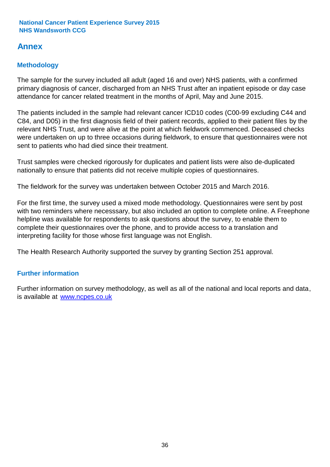# **Annex**

# **Methodology**

The sample for the survey included all adult (aged 16 and over) NHS patients, with a confirmed primary diagnosis of cancer, discharged from an NHS Trust after an inpatient episode or day case attendance for cancer related treatment in the months of April, May and June 2015.

The patients included in the sample had relevant cancer ICD10 codes (C00-99 excluding C44 and C84, and D05) in the first diagnosis field of their patient records, applied to their patient files by the relevant NHS Trust, and were alive at the point at which fieldwork commenced. Deceased checks were undertaken on up to three occasions during fieldwork, to ensure that questionnaires were not sent to patients who had died since their treatment.

Trust samples were checked rigorously for duplicates and patient lists were also de-duplicated nationally to ensure that patients did not receive multiple copies of questionnaires.

The fieldwork for the survey was undertaken between October 2015 and March 2016.

For the first time, the survey used a mixed mode methodology. Questionnaires were sent by post with two reminders where necesssary, but also included an option to complete online. A Freephone helpline was available for respondents to ask questions about the survey, to enable them to complete their questionnaires over the phone, and to provide access to a translation and interpreting facility for those whose first language was not English.

The Health Research Authority supported the survey by granting Section 251 approval.

# **Further information**

Further information on survey methodology, as well as all of the national and local reports and data, is available at www.ncpes.co.uk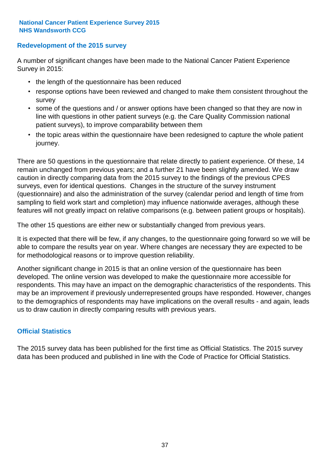### **Redevelopment of the 2015 survey**

A number of significant changes have been made to the National Cancer Patient Experience Survey in 2015:

- the length of the questionnaire has been reduced
- response options have been reviewed and changed to make them consistent throughout the survey
- some of the questions and / or answer options have been changed so that they are now in line with questions in other patient surveys (e.g. the Care Quality Commission national patient surveys), to improve comparability between them
- the topic areas within the questionnaire have been redesigned to capture the whole patient journey.

There are 50 questions in the questionnaire that relate directly to patient experience. Of these, 14 remain unchanged from previous years; and a further 21 have been slightly amended. We draw caution in directly comparing data from the 2015 survey to the findings of the previous CPES surveys, even for identical questions. Changes in the structure of the survey instrument (questionnaire) and also the administration of the survey (calendar period and length of time from sampling to field work start and completion) may influence nationwide averages, although these features will not greatly impact on relative comparisons (e.g. between patient groups or hospitals).

The other 15 questions are either new or substantially changed from previous years.

It is expected that there will be few, if any changes, to the questionnaire going forward so we will be able to compare the results year on year. Where changes are necessary they are expected to be for methodological reasons or to improve question reliability.

Another significant change in 2015 is that an online version of the questionnaire has been developed. The online version was developed to make the questionnaire more accessible for respondents. This may have an impact on the demographic characteristics of the respondents. This may be an improvement if previously underrepresented groups have responded. However, changes to the demographics of respondents may have implications on the overall results - and again, leads us to draw caution in directly comparing results with previous years.

### **Official Statistics**

The 2015 survey data has been published for the first time as Official Statistics. The 2015 survey data has been produced and published in line with the Code of Practice for Official Statistics.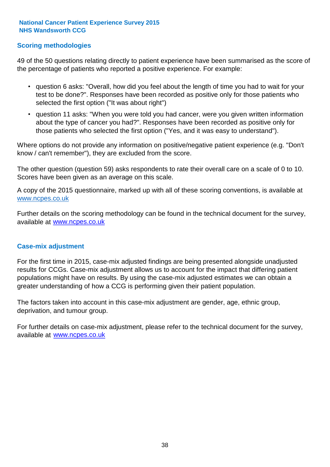### **Scoring methodologies**

49 of the 50 questions relating directly to patient experience have been summarised as the score of the percentage of patients who reported a positive experience. For example:

- question 6 asks: "Overall, how did you feel about the length of time you had to wait for your test to be done?". Responses have been recorded as positive only for those patients who selected the first option ("It was about right")
- question 11 asks: "When you were told you had cancer, were you given written information about the type of cancer you had?". Responses have been recorded as positive only for those patients who selected the first option ("Yes, and it was easy to understand").

Where options do not provide any information on positive/negative patient experience (e.g. "Don't know / can't remember"), they are excluded from the score.

The other question (question 59) asks respondents to rate their overall care on a scale of 0 to 10. Scores have been given as an average on this scale.

A copy of the 2015 questionnaire, marked up with all of these scoring conventions, is available at www.ncpes.co.uk

Further details on the scoring methodology can be found in the technical document for the survey, available at <u>www.ncpes.co.uk</u>

#### **Case-mix adjustment**

For the first time in 2015, case-mix adjusted findings are being presented alongside unadjusted results for CCGs. Case-mix adjustment allows us to account for the impact that differing patient populations might have on results. By using the case-mix adjusted estimates we can obtain a greater understanding of how a CCG is performing given their patient population.

The factors taken into account in this case-mix adjustment are gender, age, ethnic group, deprivation, and tumour group.

For further details on case-mix adjustment, please refer to the technical document for the survey, available at www.ncpes.co.uk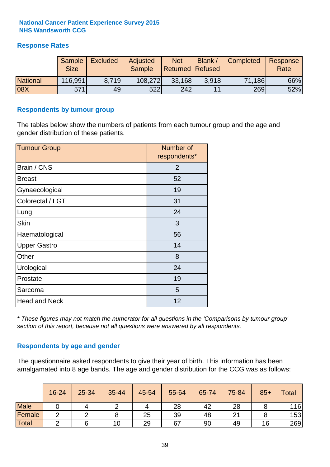### **Response Rates**

|                 | Sample<br><b>Size</b> | <b>Excluded</b> | Adjusted<br><b>Sample</b> | <b>Not</b><br><b>Returned Refused</b> | <b>Blank</b> | <b>Completed</b> | Response<br>Rate |
|-----------------|-----------------------|-----------------|---------------------------|---------------------------------------|--------------|------------------|------------------|
| <b>National</b> | 116,991               | 8.719           | 108,272                   | 33,168                                | 3.918        | 71,186           | 66%              |
| 08X             | 571                   | 49              | 522                       | 242                                   | 11           | 269              | 52%              |

#### **Respondents by tumour group**

The tables below show the numbers of patients from each tumour group and the age and gender distribution of these patients.

| <b>Tumour Group</b>  | Number of<br>respondents* |  |  |
|----------------------|---------------------------|--|--|
| Brain / CNS          | 2                         |  |  |
| <b>Breast</b>        | 52                        |  |  |
| Gynaecological       | 19                        |  |  |
| Colorectal / LGT     | 31                        |  |  |
| Lung                 | 24                        |  |  |
| <b>Skin</b>          | 3                         |  |  |
| Haematological       | 56                        |  |  |
| <b>Upper Gastro</b>  | 14                        |  |  |
| Other                | 8                         |  |  |
| Urological           | 24                        |  |  |
| Prostate             | 19                        |  |  |
| Sarcoma              | 5                         |  |  |
| <b>Head and Neck</b> | 12                        |  |  |

*\* These figures may not match the numerator for all questions in the 'Comparisons by tumour group' section of this report, because not all questions were answered by all respondents.*

### **Respondents by age and gender**

The questionnaire asked respondents to give their year of birth. This information has been amalgamated into 8 age bands. The age and gender distribution for the CCG was as follows:

|             | 16-24 | 25-34 | 35-44 | 45-54 | 55-64 | 65-74 | 75-84 | $85+$ | Total |
|-------------|-------|-------|-------|-------|-------|-------|-------|-------|-------|
| <b>Male</b> |       |       |       |       | 28    | 42    | 28    |       | 116   |
| Female      |       |       |       | 25    | 39    | 48    | 21    |       | 153   |
| Total       | ⌒     |       | 10    | 29    | 67    | 90    | 49    | 16    | 269   |